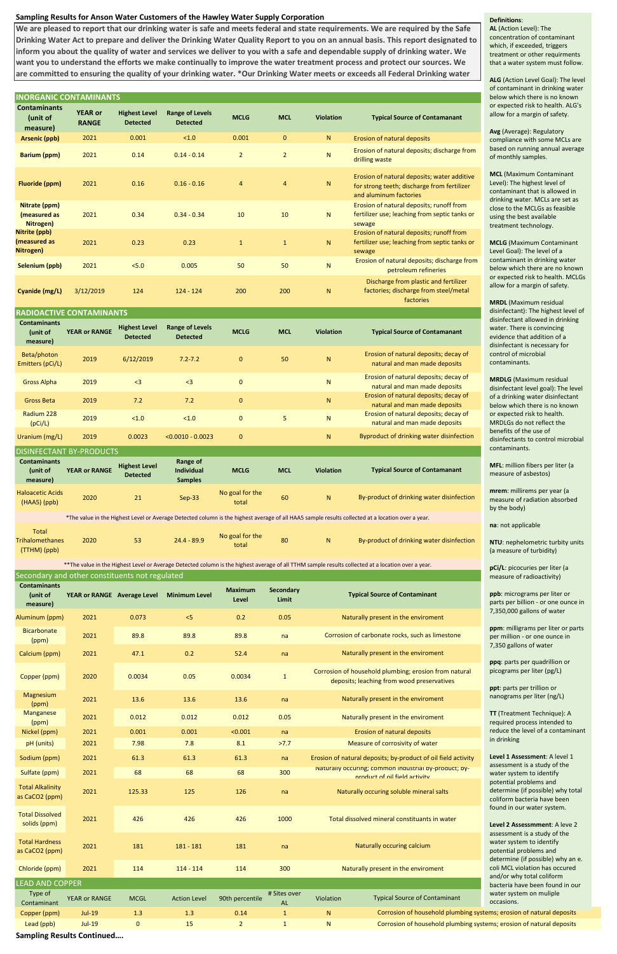# **Sampling Results for Anson Water Customers of the Hawley Water Supply Corporation**

## **INORGANIC CONTAMINANTS**

| <b>Contaminants</b><br>(unit of<br>measure) | <b>YEAR or RANGE</b> | <b>Highest Level</b><br><b>Detected</b> | <b>Range of Levels</b><br><b>Detected</b> | <b>MCLG</b>  | <b>MCL</b> | <b>Violation</b> | <b>Typical Source of Contamanant</b>                                   |
|---------------------------------------------|----------------------|-----------------------------------------|-------------------------------------------|--------------|------------|------------------|------------------------------------------------------------------------|
| Beta/photon<br>Emitters (pCi/L)             | 2019                 | 6/12/2019                               | $7.2 - 7.2$                               | $\mathbf{0}$ | 50         | N                | Erosion of natural deposits; decay of<br>natural and man made deposits |
| <b>Gross Alpha</b>                          | 2019                 | $\leq$ 3                                | $<$ 3                                     | $\mathbf{0}$ |            | $\mathsf{N}$     | Erosion of natural deposits; decay of<br>natural and man made deposits |
| <b>Gross Beta</b>                           | 2019                 | 7.2                                     | 7.2                                       | $\mathbf{0}$ |            | N                | Erosion of natural deposits; decay of<br>natural and man made deposits |
| Radium 228<br>(pCi/L)                       | 2019                 | < 1.0                                   | < 1.0                                     | $\mathbf{0}$ | 5          | N                | Erosion of natural deposits; decay of<br>natural and man made deposits |
| Uranium (mg/L)                              | 2019                 | 0.0023                                  | $< 0.0010 - 0.0023$                       | $\mathbf 0$  |            | N                | Byproduct of drinking water disinfection                               |

## DICINEECTANT BY BRODUL

| <b>Contaminants</b><br>(unit of<br>measure) | <b>YEAR or</b><br><b>RANGE</b> | <b>Highest Level</b><br><b>Detected</b> | <b>Range of Levels</b><br><b>Detected</b> | <b>MCLG</b>    | <b>MCL</b>     | <b>Violation</b> | <b>Typical Source of Contamanant</b>                                                                                 |  |  |
|---------------------------------------------|--------------------------------|-----------------------------------------|-------------------------------------------|----------------|----------------|------------------|----------------------------------------------------------------------------------------------------------------------|--|--|
| Arsenic (ppb)                               | 2021                           | 0.001                                   | < 1.0                                     | 0.001          | $\mathbf{0}$   | N                | Erosion of natural deposits                                                                                          |  |  |
| <b>Barium (ppm)</b>                         | 2021                           | 0.14                                    | $0.14 - 0.14$                             | $\overline{2}$ | $\overline{2}$ | N                | Erosion of natural deposits; discharge from<br>drilling waste                                                        |  |  |
| Fluoride (ppm)                              | 2021                           | 0.16                                    | $0.16 - 0.16$                             | $\overline{4}$ | $\overline{4}$ | N                | Erosion of natural deposits; water additive<br>for strong teeth; discharge from fertilizer<br>and aluminum factories |  |  |
| Nitrate (ppm)<br>(measured as<br>Nitrogen)  | 2021                           | 0.34                                    | $0.34 - 0.34$                             | 10             | 10             | N                | Erosion of natural deposits; runoff from<br>fertilizer use; leaching from septic tanks or<br>sewage                  |  |  |
| Nitrite (ppb)<br>(measured as<br>Nitrogen)  | 2021                           | 0.23                                    | 0.23                                      | $\mathbf{1}$   | $\mathbf{1}$   | N                | Erosion of natural deposits; runoff from<br>fertilizer use; leaching from septic tanks or<br>sewage                  |  |  |
| Selenium (ppb)                              | 2021                           | 5.0                                     | 0.005                                     | 50             | 50             | N                | Erosion of natural deposits; discharge from<br>petroleum refineries                                                  |  |  |
| Cyanide (mg/L)                              | 3/12/2019                      | 124                                     | $124 - 124$                               | 200            | 200            | N                | Discharge from plastic and fertilizer<br>factories; discharge from steel/metal<br>factories                          |  |  |
| <b>RADIOACTIVE CONTAMINANTS</b>             |                                |                                         |                                           |                |                |                  |                                                                                                                      |  |  |

**Sampling Results Continued….**

| DISINTECTANT DI-FRODOCTS                   |                      |                                         |                                                 |                          |            |                  |                                           |  |  |  |
|--------------------------------------------|----------------------|-----------------------------------------|-------------------------------------------------|--------------------------|------------|------------------|-------------------------------------------|--|--|--|
| <b>Contaminants</b><br>unit of<br>measure) | <b>YEAR or RANGE</b> | <b>Highest Level</b><br><b>Detected</b> | Range of<br><b>Individual</b><br><b>Samples</b> | <b>MCLG</b>              | <b>MCL</b> | <b>Violation</b> | <b>Typical Source of Contamanant</b>      |  |  |  |
| <b>Haloacetic Acids</b><br>$(HAA5)$ (ppb)  | 2020                 | 21                                      | $Sep-33$                                        | No goal for the<br>total | 60         | N                | By-product of drinking water disinfection |  |  |  |

| Total                  |      |     |               |                          |    |                                           |
|------------------------|------|-----|---------------|--------------------------|----|-------------------------------------------|
| <b>Trihalomethanes</b> | 2020 | гn, | $24.4 - 89.9$ | No goal for the<br>total | 80 | By-product of drinking water disinfection |
| (TTHM) (ppb)           |      |     |               |                          |    |                                           |

\*\*The value in the Highest Level or Average Detected column is the highest average of all TTHM sample results collected at a location over a year.

| Secondary and other constituents not regulated |                             |             |                      |                         |                           |                                                                                                     |  |  |  |  |
|------------------------------------------------|-----------------------------|-------------|----------------------|-------------------------|---------------------------|-----------------------------------------------------------------------------------------------------|--|--|--|--|
| <b>Contaminants</b><br>(unit of<br>measure)    | YEAR or RANGE Average Level |             | <b>Minimum Level</b> | <b>Maximum</b><br>Level | <b>Secondary</b><br>Limit | <b>Typical Source of Contaminant</b>                                                                |  |  |  |  |
| Aluminum (ppm)                                 | 2021                        | 0.073       | 5                    | 0.2                     | 0.05                      | Naturally present in the enviroment                                                                 |  |  |  |  |
| <b>Bicarbonate</b><br>(ppm)                    | 2021                        | 89.8        | 89.8                 | 89.8                    | na                        | Corrosion of carbonate rocks, such as limestone                                                     |  |  |  |  |
| Calcium (ppm)                                  | 2021                        | 47.1        | 0.2                  | 52.4                    | na                        | Naturally present in the enviroment                                                                 |  |  |  |  |
| Copper (ppm)                                   | 2020                        | 0.0034      | 0.05                 | 0.0034                  | $\mathbf{1}$              | Corrosion of household plumbing; erosion from natural<br>deposits; leaching from wood preservatives |  |  |  |  |
| Magnesium<br>(ppm)                             | 2021                        | 13.6        | 13.6                 | 13.6                    | na                        | Naturally present in the enviroment                                                                 |  |  |  |  |
| <b>Manganese</b><br>(ppm)                      | 2021                        | 0.012       | 0.012                | 0.012                   | 0.05                      | Naturally present in the enviroment                                                                 |  |  |  |  |
| Nickel (ppm)                                   | 2021                        | 0.001       | 0.001                | < 0.001                 | na                        | <b>Erosion of natural deposits</b>                                                                  |  |  |  |  |
| pH (units)                                     | 2021                        | 7.98        | 7.8                  | 8.1                     | >7.7                      | Measure of corrosivity of water                                                                     |  |  |  |  |
| Sodium (ppm)                                   | 2021                        | 61.3        | 61.3                 | 61.3                    | na                        | Erosion of natural deposits; by-product of oil field activity                                       |  |  |  |  |
| Sulfate (ppm)                                  | 2021                        | 68          | 68                   | 68                      | 300                       | Naturally occuring; common industrial by-product; by-<br>product of oil field activity              |  |  |  |  |
| <b>Total Alkalinity</b><br>as CaCO2 (ppm)      | 2021                        | 125.33      | 125                  | 126                     | na                        | Naturally occuring soluble mineral salts                                                            |  |  |  |  |
| <b>Total Dissolved</b><br>solids (ppm)         | 2021                        | 426         | 426                  | 426                     | 1000                      | Total dissolved mineral constituants in water                                                       |  |  |  |  |
| <b>Total Hardness</b><br>as CaCO2 (ppm)        | 2021                        | 181         | $181 - 181$          | 181                     | na                        | Naturally occuring calcium                                                                          |  |  |  |  |
| Chloride (ppm)                                 | 2021                        | 114         | $114 - 114$          | 114                     | 300                       | Naturally present in the enviroment                                                                 |  |  |  |  |
| <b>EAD AND COPPER</b>                          |                             |             |                      |                         |                           |                                                                                                     |  |  |  |  |
| Type of<br>Contaminant                         | <b>YEAR or RANGE</b>        | <b>MCGL</b> | <b>Action Level</b>  | 90th percentile         | # Sites over<br><b>AL</b> | <b>Typical Source of Contaminant</b><br>Violation                                                   |  |  |  |  |
| Copper (ppm)                                   | <b>Jul-19</b>               | 1.3         | 1.3                  | 0.14                    | $\mathbf{1}$              | Corrosion of household plumbing syster<br>$\mathsf{N}$                                              |  |  |  |  |
| Lead (ppb)                                     | <b>Jul-19</b>               | $\mathbf 0$ | 15                   | $\overline{2}$          | $\mathbf{1}$              | Corrosion of household plumbing syster<br>$\mathsf{N}$                                              |  |  |  |  |

**We are pleased to report that our drinking water is safe and meets federal and state requirements. We are required by the Safe Drinking Water Act to prepare and deliver the Drinking Water Quality Report to you on an annual basis. This report designated to inform you about the quality of water and services we deliver to you with a safe and dependable supply of drinking water. We want you to understand the efforts we make continually to improve the water treatment process and protect our sources. We are committed to ensuring the quality of your drinking water. \*Our Drinking Water meets or exceeds all Federal Drinking water** 

\*The value in the Highest Level or Average Detected column is the highest average of all HAA5 sample results collected at a location over a year.

## **Definitions**:

**AL** (Action Level): The concentration of contaminant which, if exceeded, triggers treatment or other requirments that a water system must follow.

**ALG** (Action Level Goal): The level of contaminant in drinking water below which there is no known or expected risk to health. ALG's allow for a margin of safety.

**Avg** (Average): Regulatory compliance with some MCLs are based on running annual average of monthly samples.

**MCL** (Maximum Contaminant Level): The highest level of contaminant that is allowed in drinking water. MCLs are set as close to the MCLGs as feasible using the best available treatment technology.

**MCLG** (Maximum Contaminant Level Goal): The level of a contaminant in drinking water below which there are no known or expected risk to health. MCLGs allow for a margin of safety.

**MRDL** (Maximum residual disinfectant): The highest level of disinfectant allowed in drinking water. There is convincing evidence that addition of a disinfectant is necessary for control of microbial contaminants.

**MRDLG** (Maximum residual disinfectant level goal): The level of a drinking water disinfectant below which there is no known or expected risk to health. MRDLGs do not reflect the benefits of the use of disinfectants to control microbial contaminants.

**MFL**: million fibers per liter (a measure of asbestos)

**mrem**: millirems per year (a measure of radiation absorbed by the body)

**na**: not applicable

**NTU**: nephelometric turbity units (a measure of turbidity)

**pCi/L**: picocuries per liter (a measure of radioactivity)

**ppb**: micrograms per liter or parts per billion - or one ounce in 7,350,000 gallons of water

**ppm**: milligrams per liter or parts per million - or one ounce in 7,350 gallons of water

**ppq**: parts per quadrillion or picograms per liter (pg/L)

**ppt**: parts per trillion or nanograms per liter (ng/L)

**TT** (Treatment Technique): A required process intended to reduce the level of a contaminant in drinking

**Level 1 Assessment**: A level 1 assessment is a study of the water system to identify potential problems and determine (if possible) why total coliform bacteria have been found in our water system.

**Level 2 Assessmment**: A leve 2 assessment is a study of the water system to identify potential problems and determine (if possible) why an e. coli MCL violation has occured and/or why total coliform bacteria have been found in our water system on muliple occasions.

ms; erosion of natural deposits ms; erosion of natural deposits